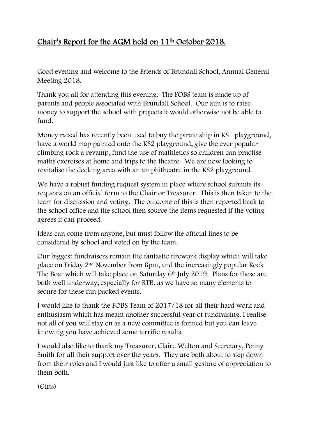## Chair's Report for the AGM held on 11<sup>th</sup> October 2018.

Good evening and welcome to the Friends of Brundall School, Annual General Meeting 2018.

Thank you all for attending this evening. The FOBS team is made up of parents and people associated with Brundall School. Our aim is to raise money to support the school with projects it would otherwise not be able to fund.

Money raised has recently been used to buy the pirate ship in KS1 playground, have a world map painted onto the KS2 playground, give the ever popular climbing rock a revamp, fund the use of mathletics so children can practise maths exercises at home and trips to the theatre. We are now looking to revitalise the decking area with an amphitheatre in the KS2 playground.

We have a robust funding request system in place where school submits its requests on an official form to the Chair or Treasurer. This is then taken to the team for discussion and voting. The outcome of this is then reported back to the school office and the school then source the items requested if the voting agrees it can proceed.

Ideas can come from anyone, but must follow the official lines to be considered by school and voted on by the team.

Our biggest fundraisers remain the fantastic firework display which will take place on Friday 2nd November from 6pm, and the increasingly popular Rock The Boat which will take place on Saturday 6<sup>th</sup> July 2019. Plans for these are both well underway, especially for RTB, as we have so many elements to secure for these fun packed events.

I would like to thank the FOBS Team of 2017/18 for all their hard work and enthusiasm which has meant another successful year of fundraising. I realise not all of you will stay on as a new committee is formed but you can leave knowing you have achieved some terrific results.

I would also like to thank my Treasurer, Claire Welton and Secretary, Penny Smith for all their support over the years. They are both about to step down from their roles and I would just like to offer a small gesture of appreciation to them both.

(Gifts)